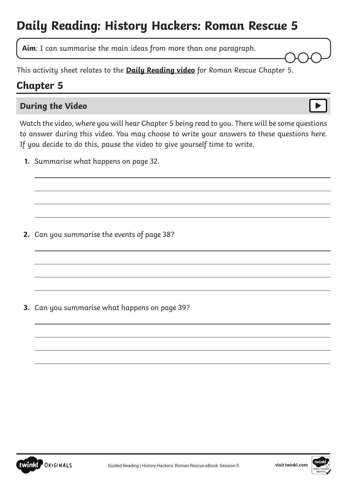# **Daily Reading: History Hackers: Roman Rescue 5**

**Aim**: I can summarise the main ideas from more than one paragraph.

This activity sheet relates to the **[Daily Reading video](https://www.youtube.com/watch?v=WK3DnS5qbjo&feature=youtu.be)** for Roman Rescue Chapter 5.

## **Chapter 5**

 $\overline{a}$ 

 $\overline{a}$ 

 $\overline{a}$ 

#### **During the Video**

Watch the video, where you will hear Chapter 5 being read to you. There will be some questions to answer during this video. You may choose to write your answers to these questions here. If you decide to do this, pause the video to give yourself time to write.

**1.** Summarise what happens on page 32.

**2.** Can you summarise the events of page 38?

**3.** Can you summarise what happens on page 39?



 $\overline{a}$ 

 $\overline{a}$ 

 $\overline{a}$ 

 $\overline{a}$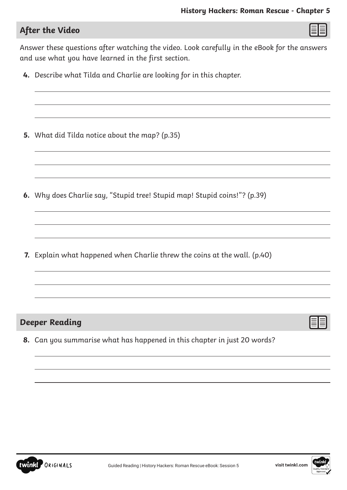$\overline{a}$ 

 $\overline{a}$ 

### **After the Video**

 $\overline{a}$ 

 $\overline{a}$ 

 $\overline{a}$ 

 $\overline{a}$ 

Answer these questions after watching the video. Look carefully in the eBook for the answers and use what you have learned in the first section.

**4.** Describe what Tilda and Charlie are looking for in this chapter.

**5.** What did Tilda notice about the map? (p.35)

**6.** Why does Charlie say, "Stupid tree! Stupid map! Stupid coins!"? (p.39)

**7.** Explain what happened when Charlie threw the coins at the wall. (p.40)

#### **Deeper Reading**

**8.** Can you summarise what has happened in this chapter in just 20 words?